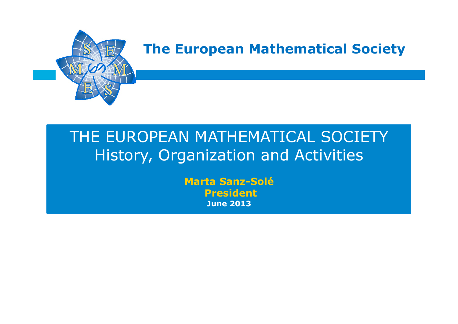

## THE EUROPEAN MATHEMATICAL SOCIETY History, Organization and Activities

**Marta Sanz-Solé President June 2013**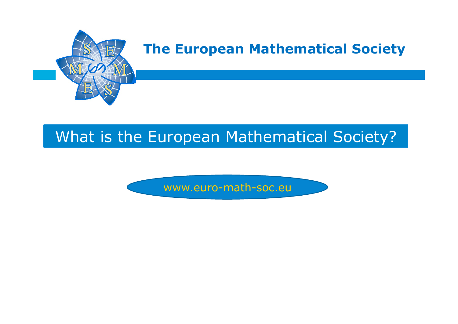

## What is the European Mathematical Society?

www.euro-math-soc.eu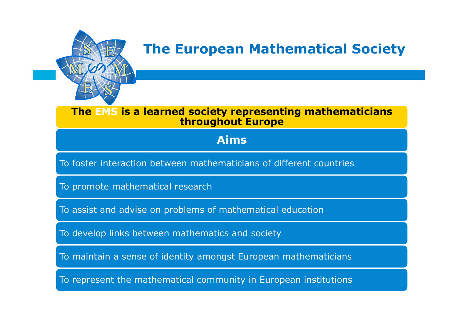

#### **The EMS is a learned society representing mathematicians throughout Europe**

### **Aims**

To foster interaction between mathematicians of different countries

To promote mathematical research

To assist and advise on problems of mathematical education

To develop links between mathematics and society

To maintain a sense of identity amongst European mathematicians

To represent the mathematical community in European institutions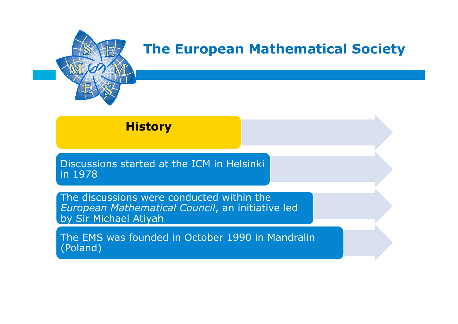

### **History**

Discussions started at the ICM in Helsinki in 1978

The discussions were conducted within the *European Mathematical Council*, an initiative led by Sir Michael Atiyah

The EMS was founded in October 1990 in Mandralin (Poland)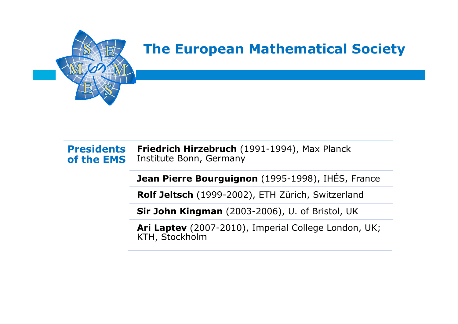

#### **Presidents of the EMS Friedrich Hirzebruch** (1991-1994), Max Planck Institute Bonn, Germany

**Jean Pierre Bourguignon** (1995-1998), IHÉS, France

**Rolf Jeltsch** (1999-2002), ETH Zürich, Switzerland

**Sir John Kingman** (2003-2006), U. of Bristol, UK

**Ari Laptev** (2007-2010), Imperial College London, UK; KTH, Stockholm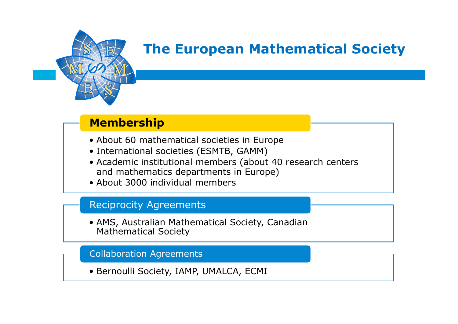

### **Membership**

- About 60 mathematical societies in Europe
- International societies (ESMTB, GAMM)
- Academic institutional members (about 40 research centers and mathematics departments in Europe)
- About 3000 individual members

### Reciprocity Agreements

• AMS, Australian Mathematical Society, Canadian Mathematical Society

#### Collaboration Agreements

• Bernoulli Society, IAMP, UMALCA, ECMI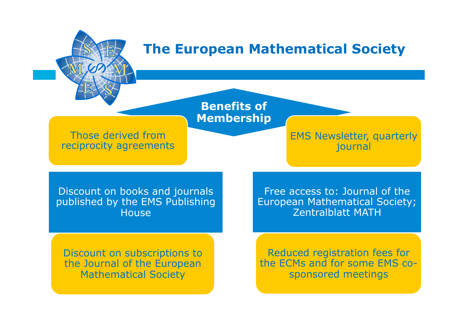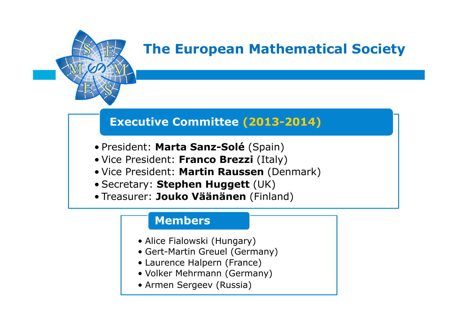

### **Executive Committee (2013-2014)**

- President: **Marta Sanz-Solé** (Spain)
- Vice President: **Franco Brezzi** (Italy)
- Vice President: **Martin Raussen** (Denmark)
- Secretary: **Stephen Huggett** (UK)
- Treasurer: **Jouko Väänänen** (Finland)

### **Members**

- Alice Fialowski (Hungary)
- Gert-Martin Greuel (Germany)
- Laurence Halpern (France)
- Volker Mehrmann (Germany)
- Armen Sergeev (Russia)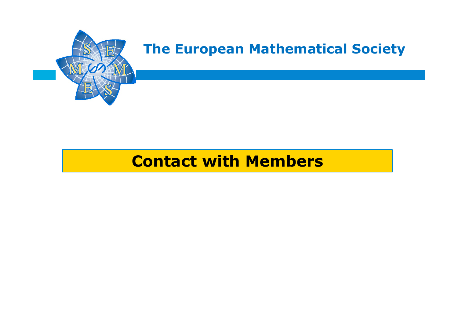

## **Contact with Members**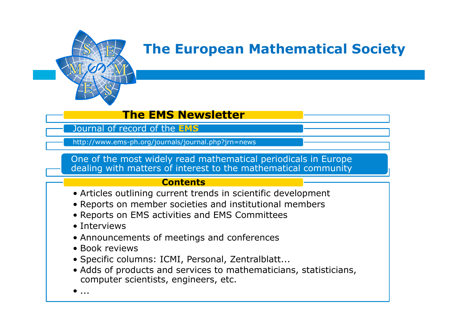

### **The EMS Newsletter**

Journal of record of the **EMS**

http://www.ems-ph.org/journals/journal.php?jrn=news

One of the most widely read mathematical periodicals in Europe dealing with matters of interest to the mathematical community

#### **Contents**

- Articles outlining current trends in scientific development
- Reports on member societies and institutional members
- Reports on EMS activities and EMS Committees
- Interviews
- Announcements of meetings and conferences
- Book reviews
- Specific columns: ICMI, Personal, Zentralblatt...
- Adds of products and services to mathematicians, statisticians, computer scientists, engineers, etc.

 $\bullet$  ...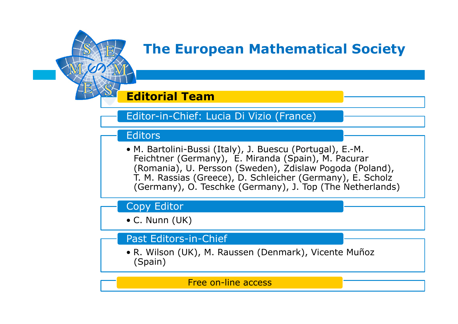

### **Editorial Team**

### Editor-in-Chief: Lucia Di Vizio (France)

### **Editors**

• M. Bartolini-Bussi (Italy), J. Buescu (Portugal), E.-M. Feichtner (Germany), E. Miranda (Spain), M. Pacurar (Romania), U. Persson (Sweden), Zdislaw Pogoda (Poland), T. M. Rassias (Greece), D. Schleicher (Germany), E. Scholz (Germany), O. Teschke (Germany), J. Top (The Netherlands)

### Copy Editor

• C. Nunn (UK)

### Past Editors-in-Chief

• R. Wilson (UK), M. Raussen (Denmark), Vicente Muñoz (Spain)

Free on-line access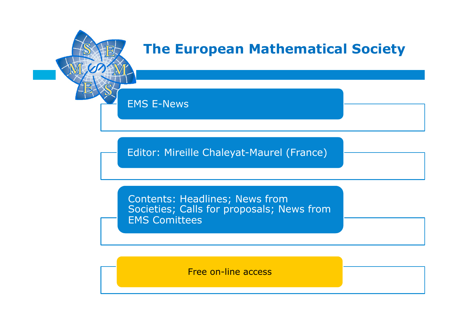

EMS E-News

Editor: Mireille Chaleyat-Maurel (France)

Contents: Headlines; News from Societies; Calls for proposals; News from EMS Comittees

Free on-line access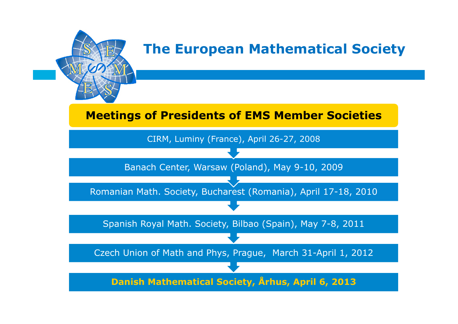

### **Meetings of Presidents of EMS Member Societies**

Spanish Royal Math. Society, Bilbao (Spain), May 7-8, 2011 Romanian Math. Society, Bucharest (Romania), April 17-18, 2010 Banach Center, Warsaw (Poland), May 9-10, 2009 CIRM, Luminy (France), April 26-27, 2008

Czech Union of Math and Phys, Prague, March 31-April 1, 2012

**Danish Mathematical Society, Århus, April 6, 2013**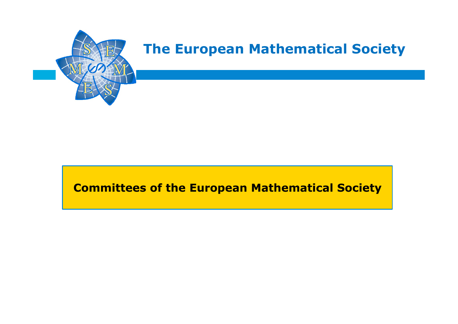

### **Committees of the European Mathematical Society**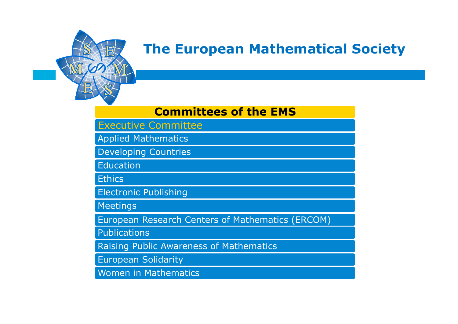

### **Committees of the EMS**

Executive Committee

Applied Mathematics

Developing Countries

**Education** 

**Ethics** 

Electronic Publishing

Meetings

European Research Centers of Mathematics (ERCOM)

**Publications** 

Raising Public Awareness of Mathematics

European Solidarity

Women in Mathematics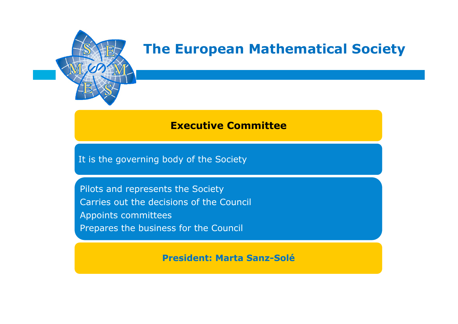

### **Executive Committee**

It is the governing body of the Society

Pilots and represents the Society Carries out the decisions of the Council Appoints committees Prepares the business for the Council

**President: Marta Sanz-Solé**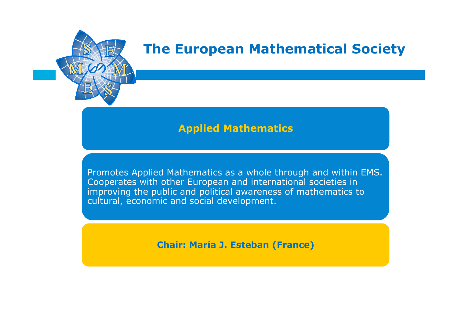

### **Applied Mathematics**

Promotes Applied Mathematics as a whole through and within EMS. Cooperates with other European and international societies in improving the public and political awareness of mathematics to cultural, economic and social development.

**Chair: María J. Esteban (France)**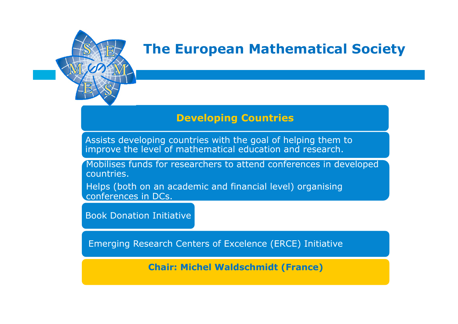

### **Developing Countries**

Assists developing countries with the goal of helping them to improve the level of mathematical education and research.

Mobilises funds for researchers to attend conferences in developed countries.

Helps (both on an academic and financial level) organising conferences in DCs.

Book Donation Initiative

Emerging Research Centers of Excelence (ERCE) Initiative

**Chair: Michel Waldschmidt (France)**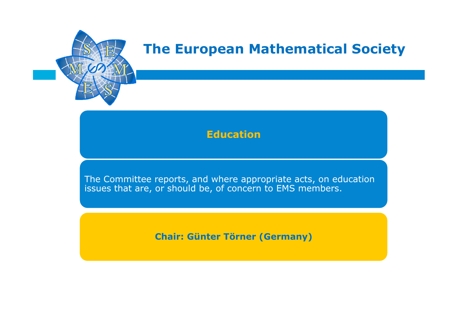

### **Education**

The Committee reports, and where appropriate acts, on education issues that are, or should be, of concern to EMS members.

**Chair: Günter Törner (Germany)**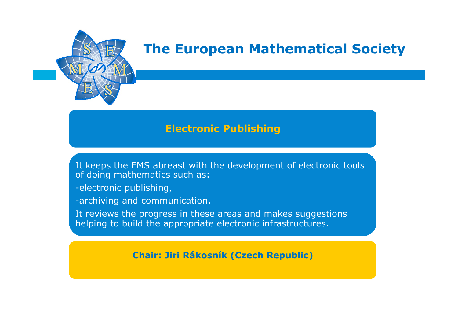

### **Electronic Publishing**

It keeps the EMS abreast with the development of electronic tools of doing mathematics such as:

-electronic publishing,

-archiving and communication.

It reviews the progress in these areas and makes suggestions helping to build the appropriate electronic infrastructures.

**Chair: Jiri Rákosník (Czech Republic)**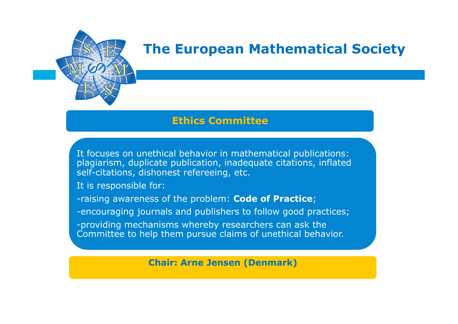

### **Ethics Committee**

It focuses on unethical behavior in mathematical publications: plagiarism, duplicate publication, inadequate citations, inflated self-citations, dishonest refereeing, etc.

It is responsible for:

-raising awareness of the problem: **Code of Practice**;

-encouraging journals and publishers to follow good practices;

-providing mechanisms whereby researchers can ask the Committee to help them pursue claims of unethical behavior.

**Chair: Arne Jensen (Denmark)**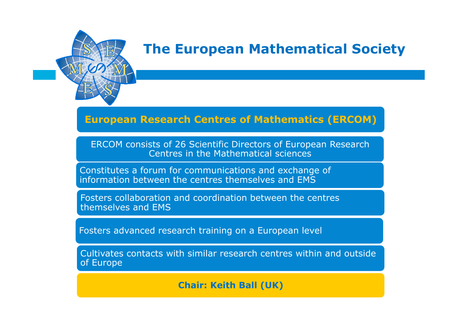

### **European Research Centres of Mathematics (ERCOM)**

ERCOM consists of 26 Scientific Directors of European Research Centres in the Mathematical sciences

Constitutes a forum for communications and exchange of information between the centres themselves and EMS

Fosters collaboration and coordination between the centres themselves and EMS

Fosters advanced research training on a European level

Cultivates contacts with similar research centres within and outside of Europe

**Chair: Keith Ball (UK)**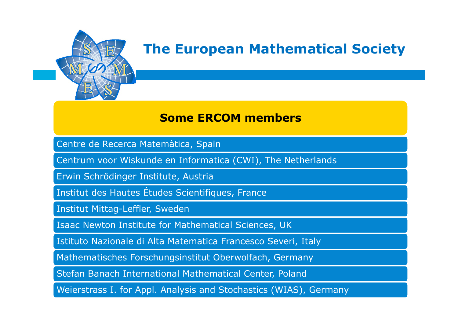

### **Some ERCOM members**

Centre de Recerca Matemàtica, Spain

Centrum voor Wiskunde en Informatica (CWI), The Netherlands

Erwin Schrödinger Institute, Austria

Institut des Hautes Études Scientifiques, France

Institut Mittag-Leffler, Sweden

Isaac Newton Institute for Mathematical Sciences, UK

Istituto Nazionale di Alta Matematica Francesco Severi, Italy

Mathematisches Forschungsinstitut Oberwolfach, Germany

Stefan Banach International Mathematical Center, Poland

Weierstrass I. for Appl. Analysis and Stochastics (WIAS), Germany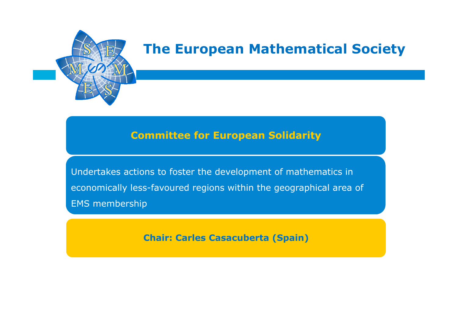

### **Committee for European Solidarity**

Undertakes actions to foster the development of mathematics in economically less-favoured regions within the geographical area of EMS membership

**Chair: Carles Casacuberta (Spain)**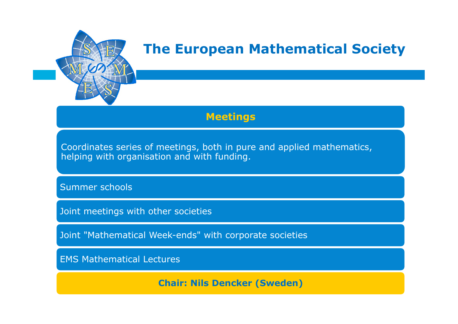

### **Meetings**

Coordinates series of meetings, both in pure and applied mathematics, helping with organisation and with funding.

Summer schools

Joint meetings with other societies

Joint "Mathematical Week-ends" with corporate societies

EMS Mathematical Lectures

**Chair: Nils Dencker (Sweden)**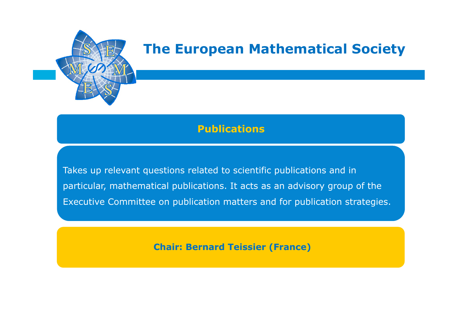

### **Publications**

Takes up relevant questions related to scientific publications and in particular, mathematical publications. It acts as an advisory group of the Executive Committee on publication matters and for publication strategies.

**Chair: Bernard Teissier (France)**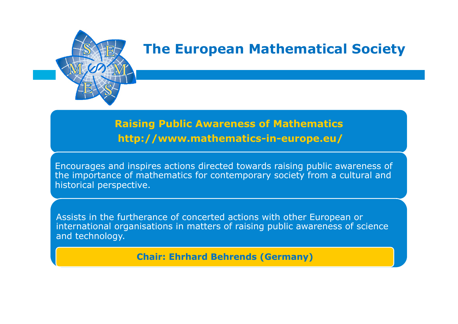

### **Raising Public Awareness of Mathematics http://www.mathematics-in-europe.eu/**

Encourages and inspires actions directed towards raising public awareness of the importance of mathematics for contemporary society from a cultural and historical perspective.

Assists in the furtherance of concerted actions with other European or international organisations in matters of raising public awareness of science and technology.

**Chair: Ehrhard Behrends (Germany)**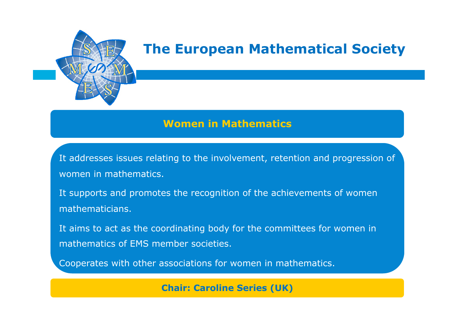

### **Women in Mathematics**

It addresses issues relating to the involvement, retention and progression of women in mathematics.

It supports and promotes the recognition of the achievements of women mathematicians.

It aims to act as the coordinating body for the committees for women in mathematics of EMS member societies.

Cooperates with other associations for women in mathematics.

**Chair: Caroline Series (UK)**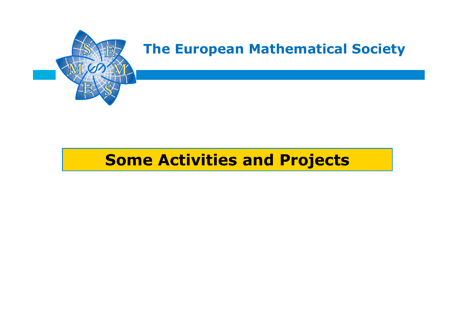

## **Some Activities and Projects**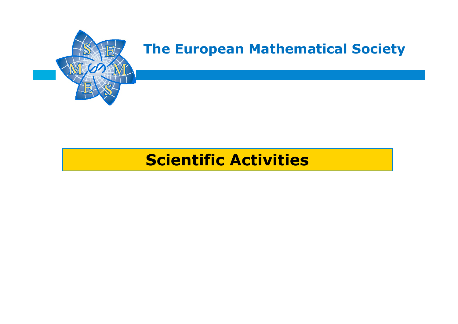

## **Scientific Activities**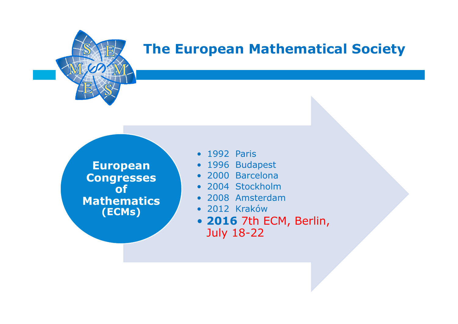

**European Congresses of Mathematics (ECMs)**

- 1992 Paris
- 1996 Budapest
- 2000 Barcelona
- 2004 Stockholm
- 2008 Amsterdam
- 2012 Kraków
- **2016** 7th ECM, Berlin, July 18-22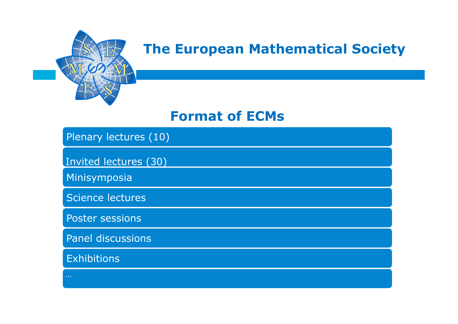

### **Format of ECMs**

### Plenary lectures (10)

Invited lectures (30)

Minisymposia

Science lectures

Poster sessions

Panel discussions

**Exhibitions**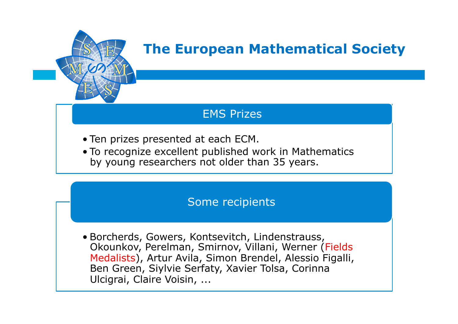

### EMS Prizes

- Ten prizes presented at each ECM.
- To recognize excellent published work in Mathematics by young researchers not older than 35 years.

### Some recipients

• Borcherds, Gowers, Kontsevitch, Lindenstrauss, Okounkov, Perelman, Smirnov, Villani, Werner (Fields Medalists), Artur Avila, Simon Brendel, Alessio Figalli, Ben Green, Siylvie Serfaty, Xavier Tolsa, Corinna Ulcigrai, Claire Voisin, ...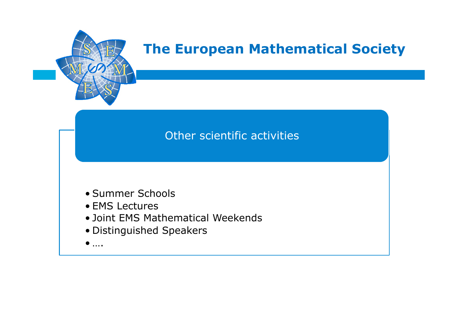

### Other scientific activities

- Summer Schools
- EMS Lectures
- Joint EMS Mathematical Weekends
- Distinguished Speakers
- $\bullet$  ….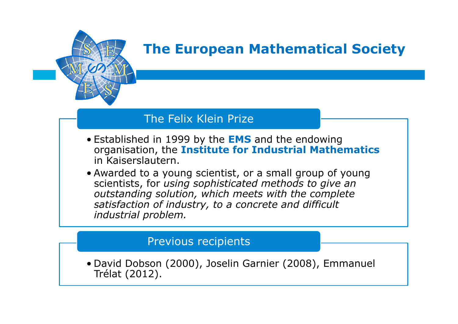

### The Felix Klein Prize

- Established in 1999 by the **EMS** and the endowing organisation, the **Institute for Industrial Mathematics**  in Kaiserslautern.
- Awarded to a young scientist, or a small group of young scientists, for *using sophisticated methods to give an outstanding solution, which meets with the complete satisfaction of industry, to a concrete and difficult industrial problem.*

### Previous recipients

• David Dobson (2000), Joselin Garnier (2008), Emmanuel Trélat (2012).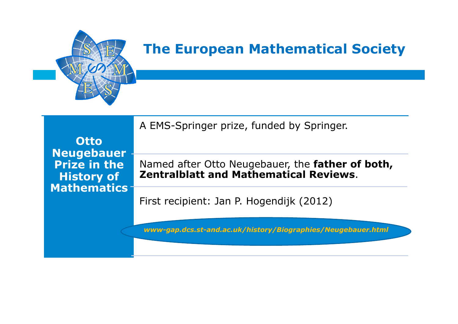

**Otto Neugebauer Prize in the History of Mathematics** A EMS-Springer prize, funded by Springer. Named after Otto Neugebauer, the **father of both, Zentralblatt and Mathematical Reviews**.

First recipient: Jan P. Hogendijk (2012)

*www-gap.dcs.st-and.ac.uk/history/Biographies/Neugebauer.html*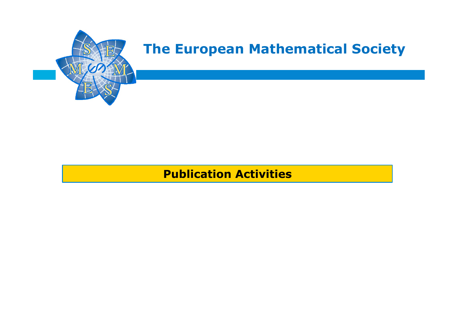

### **Publication Activities**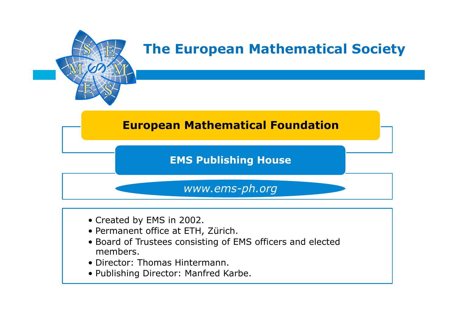

### **European Mathematical Foundation**

### **EMS Publishing House**

### *www.ems-ph.org*

- Created by EMS in 2002.
- Permanent office at ETH, Zürich.
- Board of Trustees consisting of EMS officers and elected members.
- Director: Thomas Hintermann.
- Publishing Director: Manfred Karbe.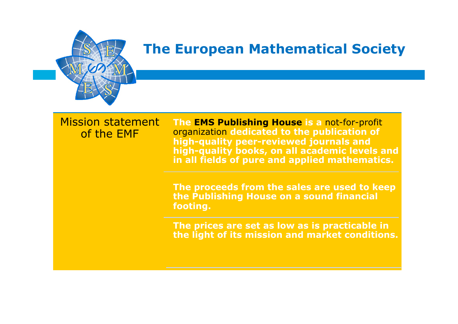

### Mission statement of the EMF

**The EMS Publishing House is a** not-for-profit organization **dedicated to the publication of high-quality peer-reviewed journals and high-quality books, on all academic levels and in all fields of pure and applied mathematics.**

**The proceeds from the sales are used to keep the Publishing House on a sound financial footing.**

**The prices are set as low as is practicable in the light of its mission and market conditions.**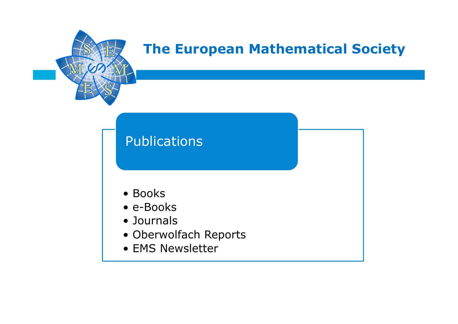

## Publications

- Books
- e-Books
- Journals
- Oberwolfach Reports
- EMS Newsletter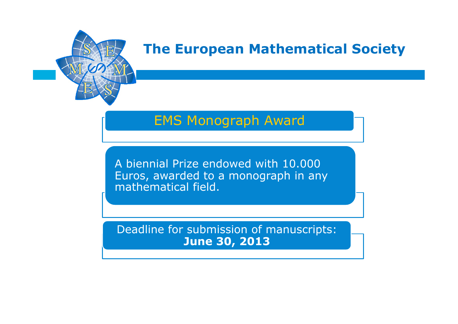

## EMS Monograph Award

A biennial Prize endowed with 10.000 Euros, awarded to a monograph in any mathematical field.

Deadline for submission of manuscripts: **June 30, 2013**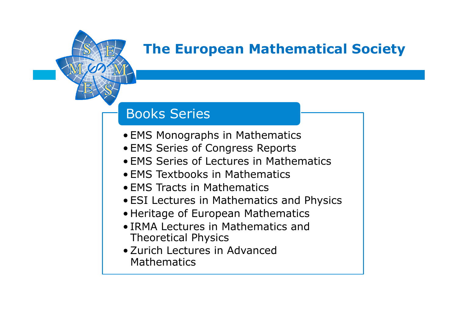

## Books Series

- EMS Monographs in Mathematics
- EMS Series of Congress Reports
- EMS Series of Lectures in Mathematics
- EMS Textbooks in Mathematics
- EMS Tracts in Mathematics
- ESI Lectures in Mathematics and Physics
- Heritage of European Mathematics
- IRMA Lectures in Mathematics and Theoretical Physics
- •Zurich Lectures in Advanced **Mathematics**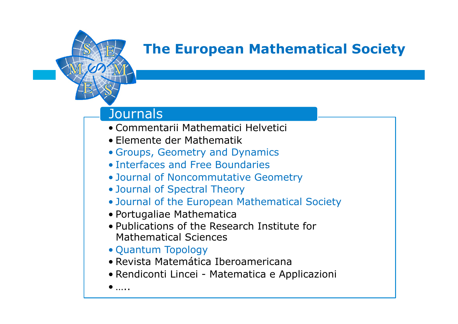

### **Journals**

- Commentarii Mathematici Helvetici
- Elemente der Mathematik
- Groups, Geometry and Dynamics
- Interfaces and Free Boundaries
- Journal of Noncommutative Geometry
- Journal of Spectral Theory
- Journal of the European Mathematical Society
- Portugaliae Mathematica
- Publications of the Research Institute for Mathematical Sciences
- Quantum Topology
- Revista Matemática Iberoamericana
- Rendiconti Lincei Matematica e Applicazioni
- $\bullet$  …..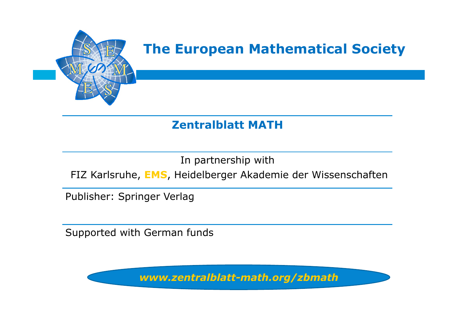

### **Zentralblatt MATH**

In partnership with

FIZ Karlsruhe, **EMS**, Heidelberger Akademie der Wissenschaften

Publisher: Springer Verlag

Supported with German funds

*www.zentralblatt-math.org/zbmath*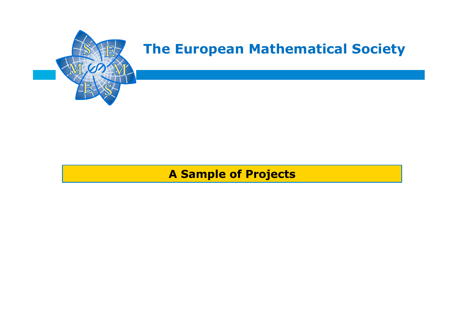

### **A Sample of Projects**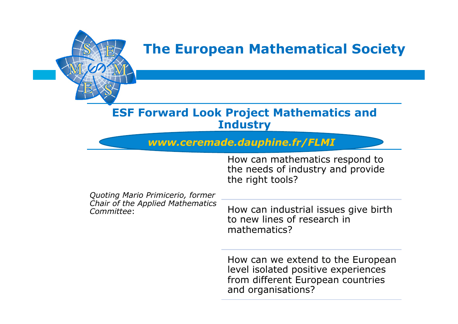

### **ESF Forward Look Project Mathematics and Industry**

*www.ceremade.dauphine.fr/FLMI*

How can mathematics respond to the needs of industry and provide the right tools?

| Quoting Mario Primicerio, former               |                                                                                     |
|------------------------------------------------|-------------------------------------------------------------------------------------|
| Chair of the Applied Mathematics<br>Committee: | How can industrial issues give birth<br>to new lines of research in<br>mathematics? |

How can we extend to the European level isolated positive experiences from different European countries and organisations?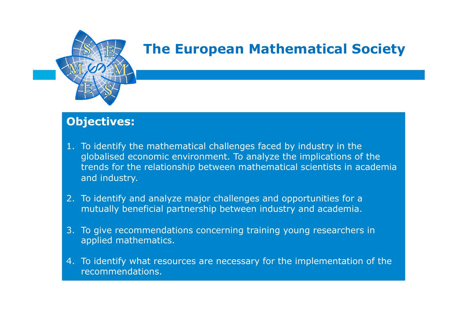

### **Objectives:**

- 1. To identify the mathematical challenges faced by industry in the globalised economic environment. To analyze the implications of the trends for the relationship between mathematical scientists in academia and industry.
- 2. To identify and analyze major challenges and opportunities for a mutually beneficial partnership between industry and academia.
- 3. To give recommendations concerning training young researchers in applied mathematics.
- 4. To identify what resources are necessary for the implementation of the recommendations.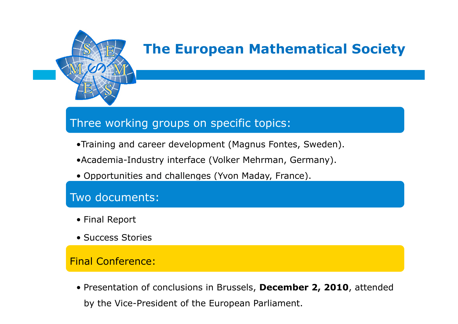

### Three working groups on specific topics:

- •Training and career development (Magnus Fontes, Sweden).
- •Academia-Industry interface (Volker Mehrman, Germany).
- Opportunities and challenges (Yvon Maday, France).

### Two documents:

- Final Report
- Success Stories

#### Final Conference:

• Presentation of conclusions in Brussels, **December 2, 2010**, attended by the Vice-President of the European Parliament.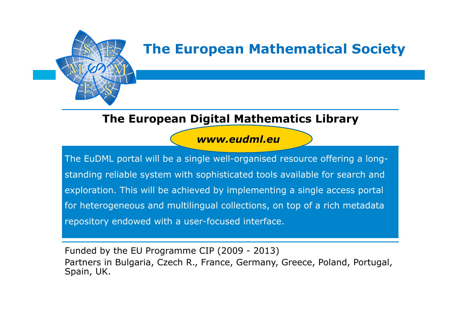

### **The European Digital Mathematics Library**

### *www.eudml.eu*

The EuDML portal will be a single well-organised resource offering a longstanding reliable system with sophisticated tools available for search and exploration. This will be achieved by implementing a single access portal for heterogeneous and multilingual collections, on top of a rich metadata repository endowed with a user-focused interface.

Funded by the EU Programme CIP (2009 - 2013) Partners in Bulgaria, Czech R., France, Germany, Greece, Poland, Portugal, Spain, UK.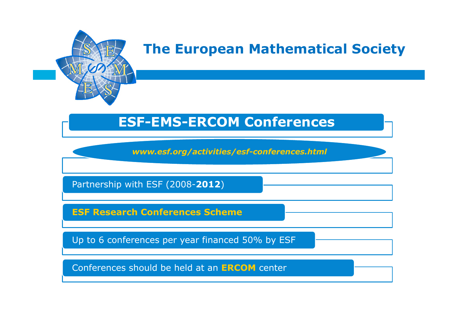

## **ESF-EMS-ERCOM Conferences**

*www.esf.org/activities/esf-conferences.html* 

Partnership with ESF (2008-**2012**)

**ESF Research Conferences Scheme**

Up to 6 conferences per year financed 50% by ESF

Conferences should be held at an **ERCOM** center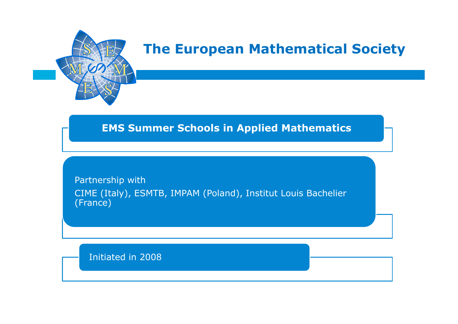

### **EMS Summer Schools in Applied Mathematics**

Partnership with CIME (Italy), ESMTB, IMPAM (Poland), Institut Louis Bachelier (France)

Initiated in 2008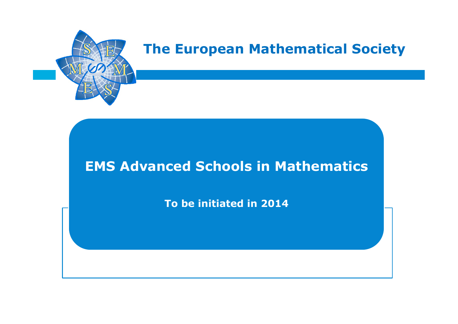

## **EMS Advanced Schools in Mathematics**

**To be initiated in 2014**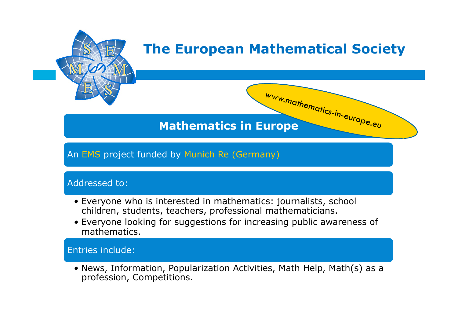

### **Mathematics in Europe**

### An EMS project funded by Munich Re (Germany)

#### Addressed to:

- Everyone who is interested in mathematics: journalists, school children, students, teachers, professional mathematicians.
- Everyone looking for suggestions for increasing public awareness of mathematics.

#### Entries include:

• News, Information, Popularization Activities, Math Help, Math(s) as a profession, Competitions.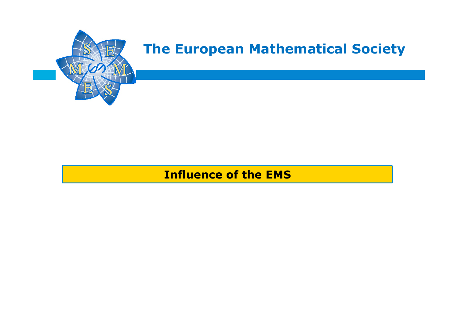

### **Influence of the EMS**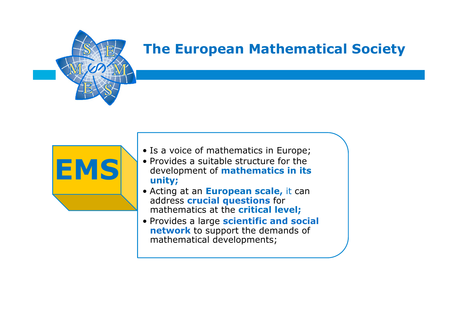

- **EMS**
- Is a voice of mathematics in Europe;
	- Provides a suitable structure for the development of **mathematics in its unity;**
	- Acting at an **European scale,** it can address **crucial questions** for mathematics at the **critical level;**
	- Provides a large **scientific and social network** to support the demands of mathematical developments;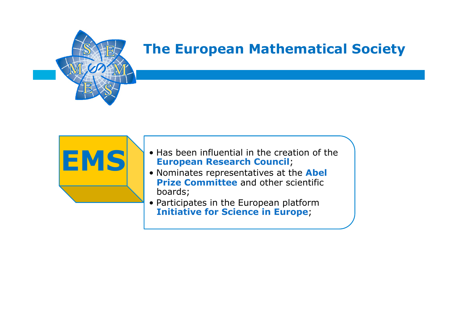

- **EMS** Has been influential in the creation of the **European Research Council**;
	- Nominates representatives at the **Abel Prize Committee** and other scientific boards;
	- Participates in the European platform **Initiative for Science in Europe**;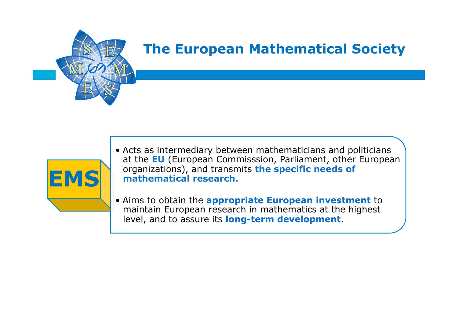

**EMS** 

## **The European Mathematical Society**

- Acts as intermediary between mathematicians and politicians at the **EU** (European Commisssion, Parliament, other European organizations), and transmits **the specific needs of mathematical research.**
- Aims to obtain the **appropriate European investment** to maintain European research in mathematics at the highest level, and to assure its **long-term development**.